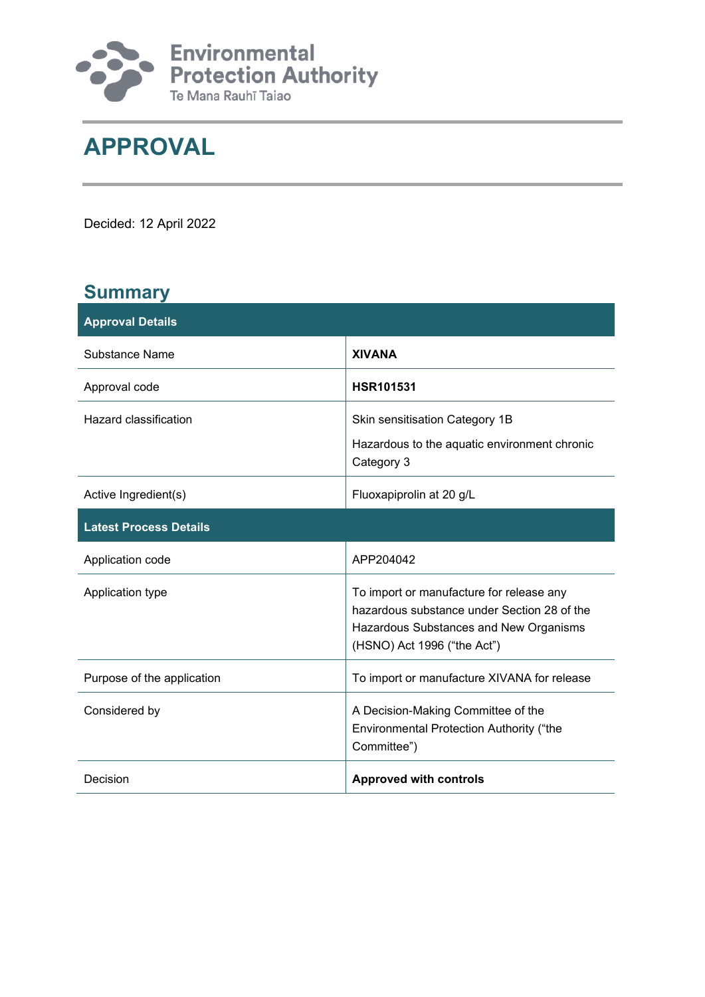

# **APPROVAL**

Decided: 12 April 2022

### **Summary**

| <b>Approval Details</b>       |                                                                                                                                                                  |  |
|-------------------------------|------------------------------------------------------------------------------------------------------------------------------------------------------------------|--|
| <b>Substance Name</b>         | <b>XIVANA</b>                                                                                                                                                    |  |
| Approval code                 | <b>HSR101531</b>                                                                                                                                                 |  |
| <b>Hazard classification</b>  | Skin sensitisation Category 1B<br>Hazardous to the aquatic environment chronic<br>Category 3                                                                     |  |
| Active Ingredient(s)          | Fluoxapiprolin at 20 g/L                                                                                                                                         |  |
| <b>Latest Process Details</b> |                                                                                                                                                                  |  |
| Application code              | APP204042                                                                                                                                                        |  |
| Application type              | To import or manufacture for release any<br>hazardous substance under Section 28 of the<br>Hazardous Substances and New Organisms<br>(HSNO) Act 1996 ("the Act") |  |
| Purpose of the application    | To import or manufacture XIVANA for release                                                                                                                      |  |
| Considered by                 | A Decision-Making Committee of the<br>Environmental Protection Authority ("the<br>Committee")                                                                    |  |
| Decision                      | <b>Approved with controls</b>                                                                                                                                    |  |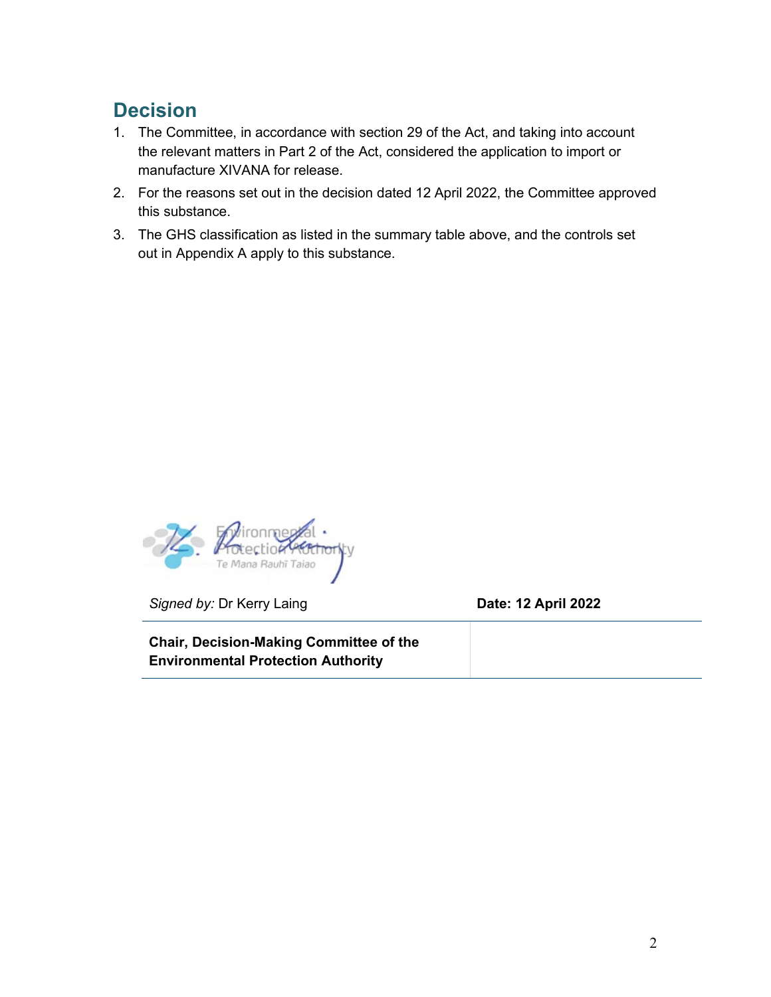### **Decision**

- 1. The Committee, in accordance with section 29 of the Act, and taking into account the relevant matters in Part 2 of the Act, considered the application to import or manufacture XIVANA for release.
- 2. For the reasons set out in the decision dated 12 April 2022, the Committee approved this substance.
- 3. The GHS classification as listed in the summary table above, and the controls set out in Appendix A apply to this substance.



*Signed by:* Dr Kerry Laing **Date: 12 April 2022**

**Chair, Decision-Making Committee of the Environmental Protection Authority**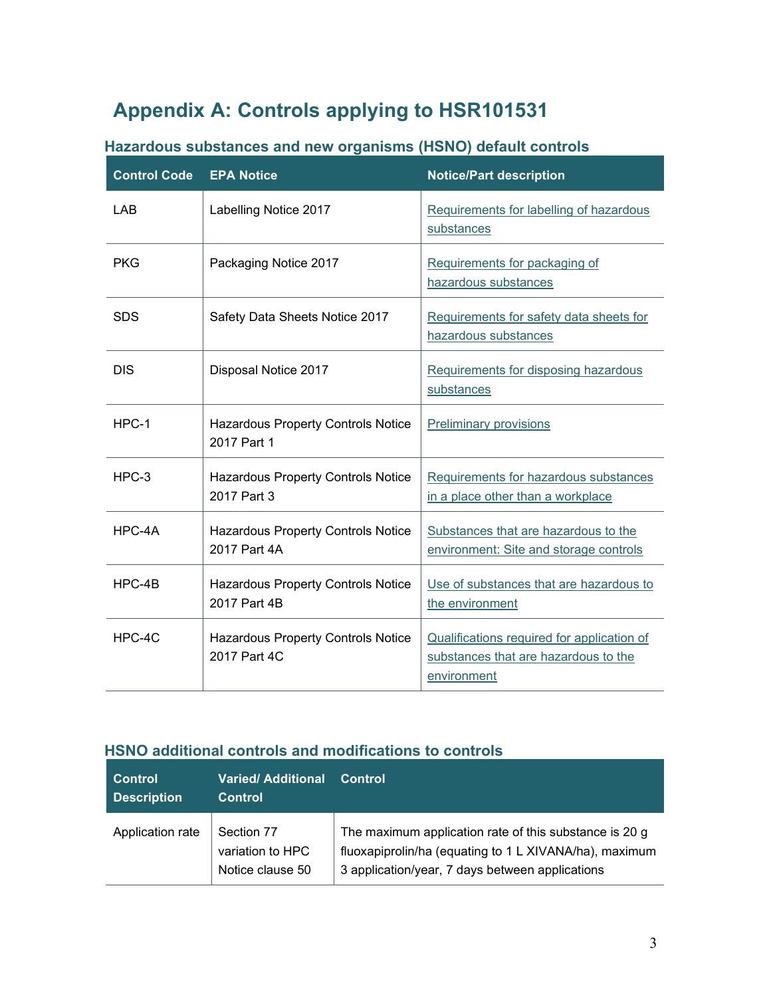## **Appendix A: Controls applying to HSR101531**

| <b>Control Code</b> | <b>EPA Notice</b>                                         | <b>Notice/Part description</b>                                                                    |  |
|---------------------|-----------------------------------------------------------|---------------------------------------------------------------------------------------------------|--|
| LAB                 | Labelling Notice 2017                                     | Requirements for labelling of hazardous<br>substances                                             |  |
| <b>PKG</b>          | Packaging Notice 2017                                     | Requirements for packaging of<br>hazardous substances                                             |  |
| <b>SDS</b>          | Safety Data Sheets Notice 2017                            | Requirements for safety data sheets for<br>hazardous substances                                   |  |
| <b>DIS</b>          | Disposal Notice 2017                                      | Requirements for disposing hazardous<br>substances                                                |  |
| HPC-1               | Hazardous Property Controls Notice<br>2017 Part 1         | <b>Preliminary provisions</b>                                                                     |  |
| $HPC-3$             | <b>Hazardous Property Controls Notice</b><br>2017 Part 3  | Requirements for hazardous substances<br>in a place other than a workplace                        |  |
| HPC-4A              | Hazardous Property Controls Notice<br>2017 Part 4A        | Substances that are hazardous to the<br>environment: Site and storage controls                    |  |
| $HPC-4B$            | Hazardous Property Controls Notice<br>2017 Part 4B        | Use of substances that are hazardous to<br>the environment                                        |  |
| HPC-4C              | <b>Hazardous Property Controls Notice</b><br>2017 Part 4C | Qualifications required for application of<br>substances that are hazardous to the<br>environment |  |

#### **Hazardous substances and new organisms (HSNO) default controls**

#### **HSNO additional controls and modifications to controls**

| <b>Control</b><br><b>Description</b> | <b>Varied/Additional</b><br><b>Control</b>         | Control                                                                                                                                                             |
|--------------------------------------|----------------------------------------------------|---------------------------------------------------------------------------------------------------------------------------------------------------------------------|
| Application rate                     | Section 77<br>variation to HPC<br>Notice clause 50 | The maximum application rate of this substance is 20 g<br>fluoxapiprolin/ha (equating to 1 L XIVANA/ha), maximum<br>3 application/year, 7 days between applications |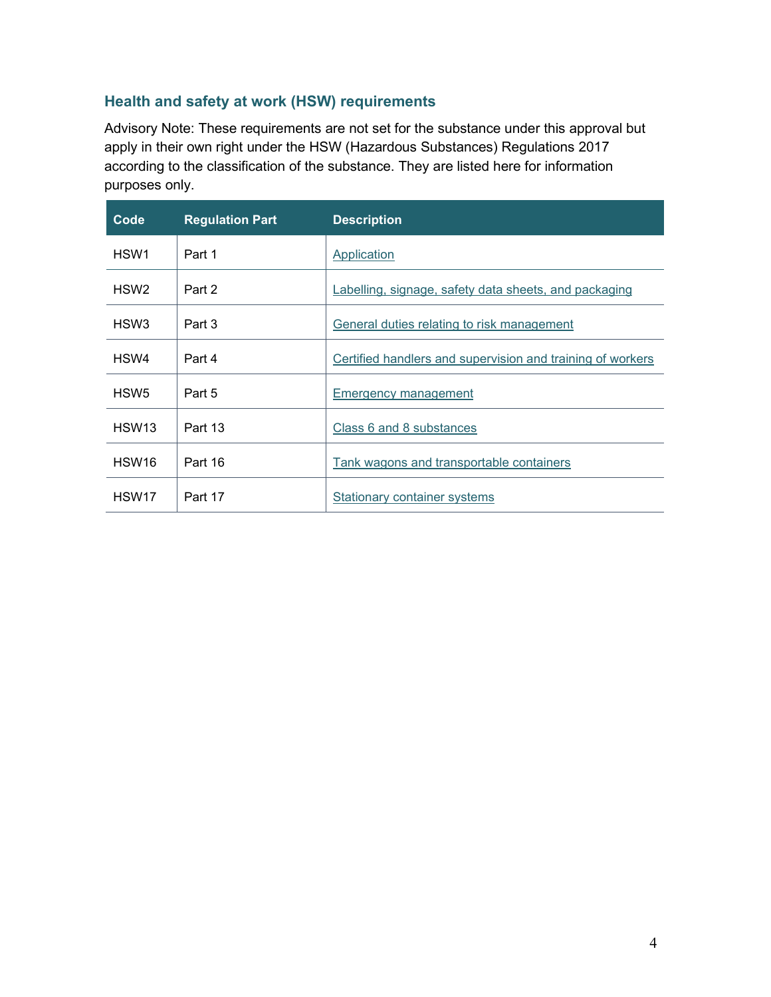#### **Health and safety at work (HSW) requirements**

Advisory Note: These requirements are not set for the substance under this approval but apply in their own right under the HSW (Hazardous Substances) Regulations 2017 according to the classification of the substance. They are listed here for information purposes only.

| Code              | <b>Regulation Part</b> | <b>Description</b>                                         |
|-------------------|------------------------|------------------------------------------------------------|
| HSW1              | Part 1                 | Application                                                |
| HSW <sub>2</sub>  | Part 2                 | Labelling, signage, safety data sheets, and packaging      |
| HSW <sub>3</sub>  | Part 3                 | General duties relating to risk management                 |
| HSW4              | Part 4                 | Certified handlers and supervision and training of workers |
| HSW <sub>5</sub>  | Part 5                 | Emergency management                                       |
| HSW13             | Part 13                | Class 6 and 8 substances                                   |
| HSW <sub>16</sub> | Part 16                | Tank wagons and transportable containers                   |
| HSW <sub>17</sub> | Part 17                | <b>Stationary container systems</b>                        |